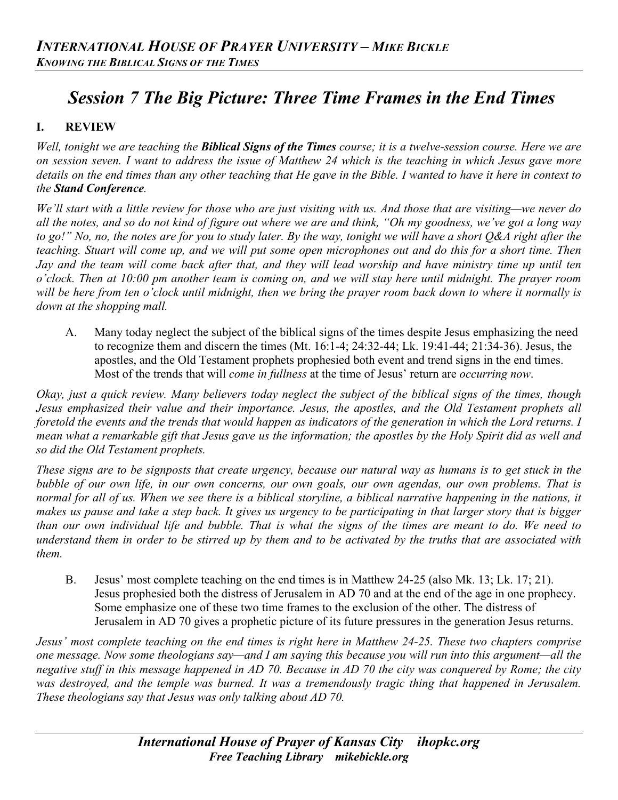# *Session 7 The Big Picture: Three Time Frames in the End Times*

## **I. REVIEW**

*Well, tonight we are teaching the Biblical Signs of the Times course; it is a twelve-session course. Here we are on session seven. I want to address the issue of Matthew 24 which is the teaching in which Jesus gave more details on the end times than any other teaching that He gave in the Bible. I wanted to have it here in context to the Stand Conference.*

*We'll start with a little review for those who are just visiting with us. And those that are visiting—we never do all the notes, and so do not kind of figure out where we are and think, "Oh my goodness, we've got a long way to go!" No, no, the notes are for you to study later. By the way, tonight we will have a short Q&A right after the teaching. Stuart will come up, and we will put some open microphones out and do this for a short time. Then Jay and the team will come back after that, and they will lead worship and have ministry time up until ten o'clock. Then at 10:00 pm another team is coming on, and we will stay here until midnight. The prayer room will be here from ten o'clock until midnight, then we bring the prayer room back down to where it normally is down at the shopping mall.*

A. Many today neglect the subject of the biblical signs of the times despite Jesus emphasizing the need to recognize them and discern the times (Mt. 16:1-4; 24:32-44; Lk. 19:41-44; 21:34-36). Jesus, the apostles, and the Old Testament prophets prophesied both event and trend signs in the end times. Most of the trends that will *come in fullness* at the time of Jesus' return are *occurring now*.

*Okay, just a quick review. Many believers today neglect the subject of the biblical signs of the times, though Jesus emphasized their value and their importance. Jesus, the apostles, and the Old Testament prophets all foretold the events and the trends that would happen as indicators of the generation in which the Lord returns. I mean what a remarkable gift that Jesus gave us the information; the apostles by the Holy Spirit did as well and so did the Old Testament prophets.* 

*These signs are to be signposts that create urgency, because our natural way as humans is to get stuck in the bubble of our own life, in our own concerns, our own goals, our own agendas, our own problems. That is*  normal for all of us. When we see there is a biblical storyline, a biblical narrative happening in the nations, it *makes us pause and take a step back. It gives us urgency to be participating in that larger story that is bigger than our own individual life and bubble. That is what the signs of the times are meant to do. We need to understand them in order to be stirred up by them and to be activated by the truths that are associated with them.*

B. Jesus' most complete teaching on the end times is in Matthew 24-25 (also Mk. 13; Lk. 17; 21). Jesus prophesied both the distress of Jerusalem in AD 70 and at the end of the age in one prophecy. Some emphasize one of these two time frames to the exclusion of the other. The distress of Jerusalem in AD 70 gives a prophetic picture of its future pressures in the generation Jesus returns.

*Jesus' most complete teaching on the end times is right here in Matthew 24-25. These two chapters comprise one message. Now some theologians say—and I am saying this because you will run into this argument—all the negative stuff in this message happened in AD 70. Because in AD 70 the city was conquered by Rome; the city was destroyed, and the temple was burned. It was a tremendously tragic thing that happened in Jerusalem. These theologians say that Jesus was only talking about AD 70.*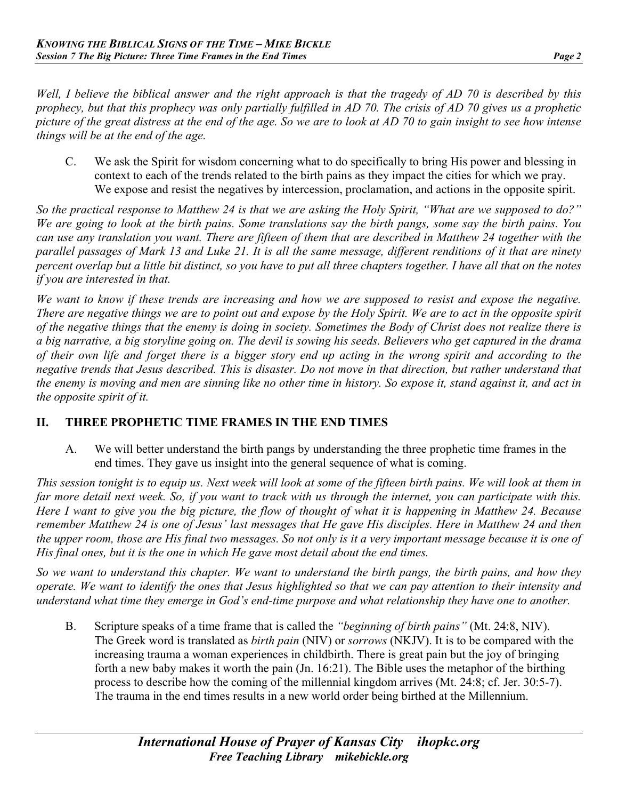*Well, I believe the biblical answer and the right approach is that the tragedy of AD 70 is described by this prophecy, but that this prophecy was only partially fulfilled in AD 70. The crisis of AD 70 gives us a prophetic picture of the great distress at the end of the age. So we are to look at AD 70 to gain insight to see how intense things will be at the end of the age.*

C. We ask the Spirit for wisdom concerning what to do specifically to bring His power and blessing in context to each of the trends related to the birth pains as they impact the cities for which we pray. We expose and resist the negatives by intercession, proclamation, and actions in the opposite spirit.

*So the practical response to Matthew 24 is that we are asking the Holy Spirit, "What are we supposed to do?" We are going to look at the birth pains. Some translations say the birth pangs, some say the birth pains. You can use any translation you want. There are fifteen of them that are described in Matthew 24 together with the parallel passages of Mark 13 and Luke 21. It is all the same message, different renditions of it that are ninety percent overlap but a little bit distinct, so you have to put all three chapters together. I have all that on the notes if you are interested in that.*

*We want to know if these trends are increasing and how we are supposed to resist and expose the negative. There are negative things we are to point out and expose by the Holy Spirit. We are to act in the opposite spirit of the negative things that the enemy is doing in society. Sometimes the Body of Christ does not realize there is a big narrative, a big storyline going on. The devil is sowing his seeds. Believers who get captured in the drama of their own life and forget there is a bigger story end up acting in the wrong spirit and according to the negative trends that Jesus described. This is disaster. Do not move in that direction, but rather understand that the enemy is moving and men are sinning like no other time in history. So expose it, stand against it, and act in the opposite spirit of it.*

## **II. THREE PROPHETIC TIME FRAMES IN THE END TIMES**

A. We will better understand the birth pangs by understanding the three prophetic time frames in the end times. They gave us insight into the general sequence of what is coming.

*This session tonight is to equip us. Next week will look at some of the fifteen birth pains. We will look at them in far more detail next week. So, if you want to track with us through the internet, you can participate with this. Here I want to give you the big picture, the flow of thought of what it is happening in Matthew 24. Because remember Matthew 24 is one of Jesus' last messages that He gave His disciples. Here in Matthew 24 and then the upper room, those are His final two messages. So not only is it a very important message because it is one of His final ones, but it is the one in which He gave most detail about the end times.*

*So we want to understand this chapter. We want to understand the birth pangs, the birth pains, and how they operate. We want to identify the ones that Jesus highlighted so that we can pay attention to their intensity and understand what time they emerge in God's end-time purpose and what relationship they have one to another.*

B. Scripture speaks of a time frame that is called the *"beginning of birth pains"* (Mt. 24:8, NIV). The Greek word is translated as *birth pain* (NIV) or *sorrows* (NKJV). It is to be compared with the increasing trauma a woman experiences in childbirth. There is great pain but the joy of bringing forth a new baby makes it worth the pain (Jn. 16:21). The Bible uses the metaphor of the birthing process to describe how the coming of the millennial kingdom arrives (Mt. 24:8; cf. Jer. 30:5-7). The trauma in the end times results in a new world order being birthed at the Millennium.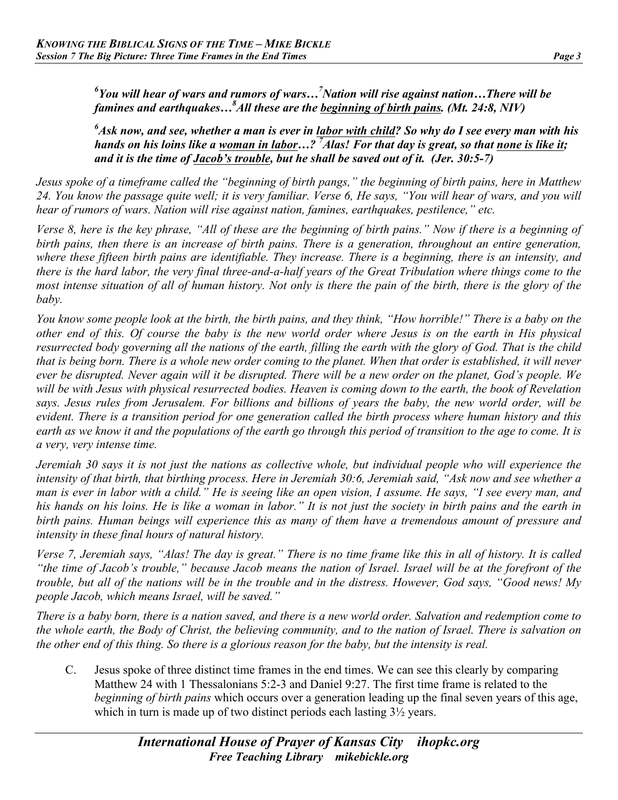<sup>6</sup>You will hear of wars and rumors of wars...<sup>7</sup>Nation will rise against nation...There will be *famines and earthquakes…8 All these are the beginning of birth pains. (Mt. 24:8, NIV)* 

*6 Ask now, and see, whether a man is ever in labor with child? So why do I see every man with his hands on his loins like a woman in labor…? 7 Alas! For that day is great, so that none is like it; and it is the time of Jacob's trouble, but he shall be saved out of it. (Jer. 30:5-7)*

*Jesus spoke of a timeframe called the "beginning of birth pangs," the beginning of birth pains, here in Matthew 24. You know the passage quite well; it is very familiar. Verse 6, He says, "You will hear of wars, and you will hear of rumors of wars. Nation will rise against nation, famines, earthquakes, pestilence," etc.*

*Verse 8, here is the key phrase, "All of these are the beginning of birth pains." Now if there is a beginning of birth pains, then there is an increase of birth pains. There is a generation, throughout an entire generation, where these fifteen birth pains are identifiable. They increase. There is a beginning, there is an intensity, and there is the hard labor, the very final three-and-a-half years of the Great Tribulation where things come to the most intense situation of all of human history. Not only is there the pain of the birth, there is the glory of the baby.*

*You know some people look at the birth, the birth pains, and they think, "How horrible!" There is a baby on the other end of this. Of course the baby is the new world order where Jesus is on the earth in His physical resurrected body governing all the nations of the earth, filling the earth with the glory of God. That is the child that is being born. There is a whole new order coming to the planet. When that order is established, it will never ever be disrupted. Never again will it be disrupted. There will be a new order on the planet, God's people. We will be with Jesus with physical resurrected bodies. Heaven is coming down to the earth, the book of Revelation says. Jesus rules from Jerusalem. For billions and billions of years the baby, the new world order, will be evident. There is a transition period for one generation called the birth process where human history and this earth as we know it and the populations of the earth go through this period of transition to the age to come. It is a very, very intense time.* 

*Jeremiah 30 says it is not just the nations as collective whole, but individual people who will experience the intensity of that birth, that birthing process. Here in Jeremiah 30:6, Jeremiah said, "Ask now and see whether a man is ever in labor with a child." He is seeing like an open vision, I assume. He says, "I see every man, and his hands on his loins. He is like a woman in labor." It is not just the society in birth pains and the earth in birth pains. Human beings will experience this as many of them have a tremendous amount of pressure and intensity in these final hours of natural history.*

*Verse 7, Jeremiah says, "Alas! The day is great." There is no time frame like this in all of history. It is called "the time of Jacob's trouble," because Jacob means the nation of Israel. Israel will be at the forefront of the trouble, but all of the nations will be in the trouble and in the distress. However, God says, "Good news! My people Jacob, which means Israel, will be saved."*

*There is a baby born, there is a nation saved, and there is a new world order. Salvation and redemption come to the whole earth, the Body of Christ, the believing community, and to the nation of Israel. There is salvation on the other end of this thing. So there is a glorious reason for the baby, but the intensity is real.* 

C. Jesus spoke of three distinct time frames in the end times. We can see this clearly by comparing Matthew 24 with 1 Thessalonians 5:2-3 and Daniel 9:27. The first time frame is related to the *beginning of birth pains* which occurs over a generation leading up the final seven years of this age, which in turn is made up of two distinct periods each lasting  $3\frac{1}{2}$  years.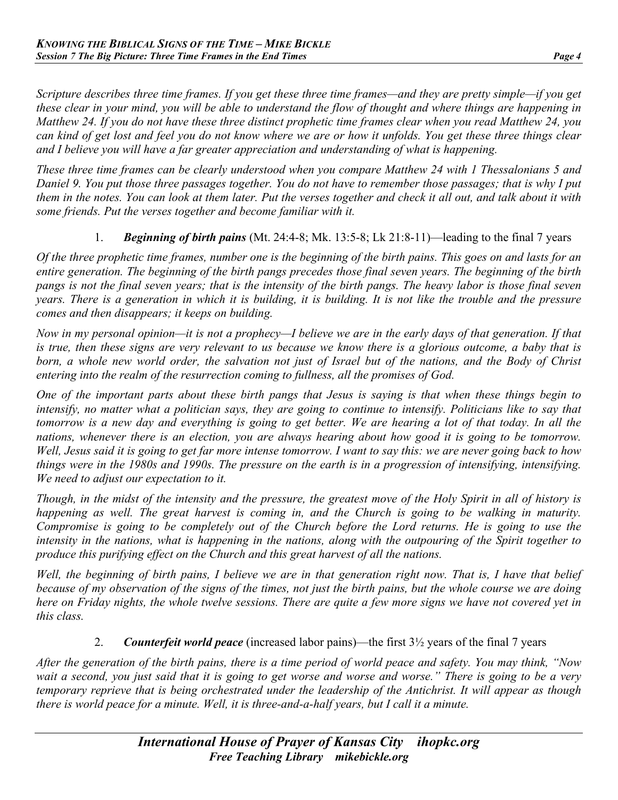*Scripture describes three time frames. If you get these three time frames—and they are pretty simple—if you get these clear in your mind, you will be able to understand the flow of thought and where things are happening in Matthew 24. If you do not have these three distinct prophetic time frames clear when you read Matthew 24, you can kind of get lost and feel you do not know where we are or how it unfolds. You get these three things clear and I believe you will have a far greater appreciation and understanding of what is happening.*

*These three time frames can be clearly understood when you compare Matthew 24 with 1 Thessalonians 5 and Daniel 9. You put those three passages together. You do not have to remember those passages; that is why I put them in the notes. You can look at them later. Put the verses together and check it all out, and talk about it with some friends. Put the verses together and become familiar with it.*

#### 1. *Beginning of birth pains* (Mt. 24:4-8; Mk. 13:5-8; Lk 21:8-11)—leading to the final 7 years

*Of the three prophetic time frames, number one is the beginning of the birth pains. This goes on and lasts for an entire generation. The beginning of the birth pangs precedes those final seven years. The beginning of the birth pangs is not the final seven years; that is the intensity of the birth pangs. The heavy labor is those final seven years. There is a generation in which it is building, it is building. It is not like the trouble and the pressure comes and then disappears; it keeps on building.*

*Now in my personal opinion—it is not a prophecy—I believe we are in the early days of that generation. If that is true, then these signs are very relevant to us because we know there is a glorious outcome, a baby that is born, a whole new world order, the salvation not just of Israel but of the nations, and the Body of Christ entering into the realm of the resurrection coming to fullness, all the promises of God.*

*One of the important parts about these birth pangs that Jesus is saying is that when these things begin to intensify, no matter what a politician says, they are going to continue to intensify. Politicians like to say that tomorrow is a new day and everything is going to get better. We are hearing a lot of that today. In all the nations, whenever there is an election, you are always hearing about how good it is going to be tomorrow. Well, Jesus said it is going to get far more intense tomorrow. I want to say this: we are never going back to how things were in the 1980s and 1990s. The pressure on the earth is in a progression of intensifying, intensifying. We need to adjust our expectation to it.* 

*Though, in the midst of the intensity and the pressure, the greatest move of the Holy Spirit in all of history is happening as well. The great harvest is coming in, and the Church is going to be walking in maturity. Compromise is going to be completely out of the Church before the Lord returns. He is going to use the intensity in the nations, what is happening in the nations, along with the outpouring of the Spirit together to produce this purifying effect on the Church and this great harvest of all the nations.*

*Well, the beginning of birth pains, I believe we are in that generation right now. That is, I have that belief because of my observation of the signs of the times, not just the birth pains, but the whole course we are doing here on Friday nights, the whole twelve sessions. There are quite a few more signs we have not covered yet in this class.*

#### 2. *Counterfeit world peace* (increased labor pains)—the first 3½ years of the final 7 years

*After the generation of the birth pains, there is a time period of world peace and safety. You may think, "Now wait a second, you just said that it is going to get worse and worse and worse." There is going to be a very temporary reprieve that is being orchestrated under the leadership of the Antichrist. It will appear as though there is world peace for a minute. Well, it is three-and-a-half years, but I call it a minute.*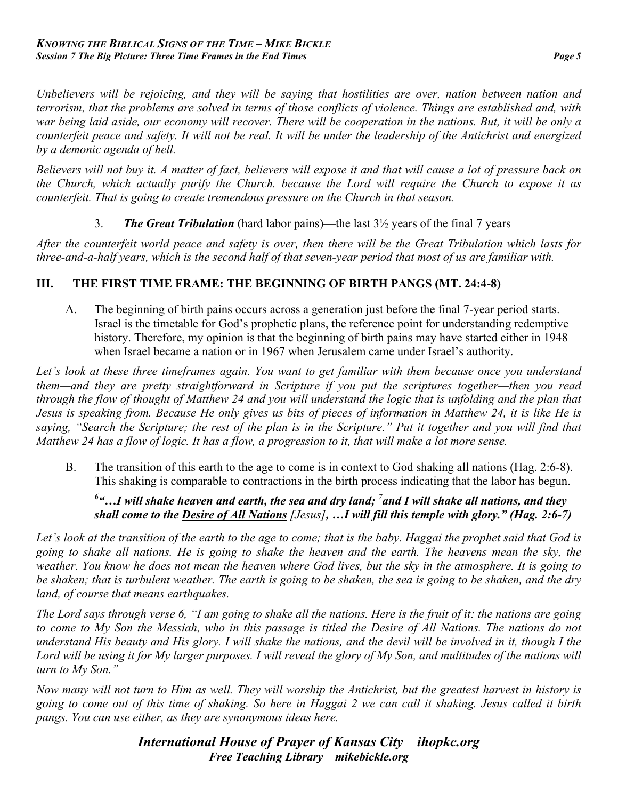*Unbelievers will be rejoicing, and they will be saying that hostilities are over, nation between nation and terrorism, that the problems are solved in terms of those conflicts of violence. Things are established and, with war being laid aside, our economy will recover. There will be cooperation in the nations. But, it will be only a counterfeit peace and safety. It will not be real. It will be under the leadership of the Antichrist and energized by a demonic agenda of hell.*

*Believers will not buy it. A matter of fact, believers will expose it and that will cause a lot of pressure back on the Church, which actually purify the Church. because the Lord will require the Church to expose it as counterfeit. That is going to create tremendous pressure on the Church in that season.*

3. *The Great Tribulation* (hard labor pains)—the last 3½ years of the final 7 years

*After the counterfeit world peace and safety is over, then there will be the Great Tribulation which lasts for three-and-a-half years, which is the second half of that seven-year period that most of us are familiar with.*

## **III. THE FIRST TIME FRAME: THE BEGINNING OF BIRTH PANGS (MT. 24:4-8)**

A. The beginning of birth pains occurs across a generation just before the final 7-year period starts. Israel is the timetable for God's prophetic plans, the reference point for understanding redemptive history. Therefore, my opinion is that the beginning of birth pains may have started either in 1948 when Israel became a nation or in 1967 when Jerusalem came under Israel's authority.

*Let's look at these three timeframes again. You want to get familiar with them because once you understand them—and they are pretty straightforward in Scripture if you put the scriptures together—then you read through the flow of thought of Matthew 24 and you will understand the logic that is unfolding and the plan that Jesus is speaking from. Because He only gives us bits of pieces of information in Matthew 24, it is like He is saying, "Search the Scripture; the rest of the plan is in the Scripture." Put it together and you will find that Matthew 24 has a flow of logic. It has a flow, a progression to it, that will make a lot more sense.*

B. The transition of this earth to the age to come is in context to God shaking all nations (Hag. 2:6-8). This shaking is comparable to contractions in the birth process indicating that the labor has begun.

#### <sup>6</sup> "...<u>I will shake heaven and earth</u>, the sea and dry land; <sup>7</sup> and <u>I will shake all nations,</u> and they *shall come to the Desire of All Nations [Jesus], …I will fill this temple with glory." (Hag. 2:6-7)*

*Let's look at the transition of the earth to the age to come; that is the baby. Haggai the prophet said that God is going to shake all nations. He is going to shake the heaven and the earth. The heavens mean the sky, the weather. You know he does not mean the heaven where God lives, but the sky in the atmosphere. It is going to be shaken; that is turbulent weather. The earth is going to be shaken, the sea is going to be shaken, and the dry land, of course that means earthquakes.*

*The Lord says through verse 6, "I am going to shake all the nations. Here is the fruit of it: the nations are going to come to My Son the Messiah, who in this passage is titled the Desire of All Nations. The nations do not understand His beauty and His glory. I will shake the nations, and the devil will be involved in it, though I the Lord will be using it for My larger purposes. I will reveal the glory of My Son, and multitudes of the nations will turn to My Son."*

*Now many will not turn to Him as well. They will worship the Antichrist, but the greatest harvest in history is going to come out of this time of shaking. So here in Haggai 2 we can call it shaking. Jesus called it birth pangs. You can use either, as they are synonymous ideas here.*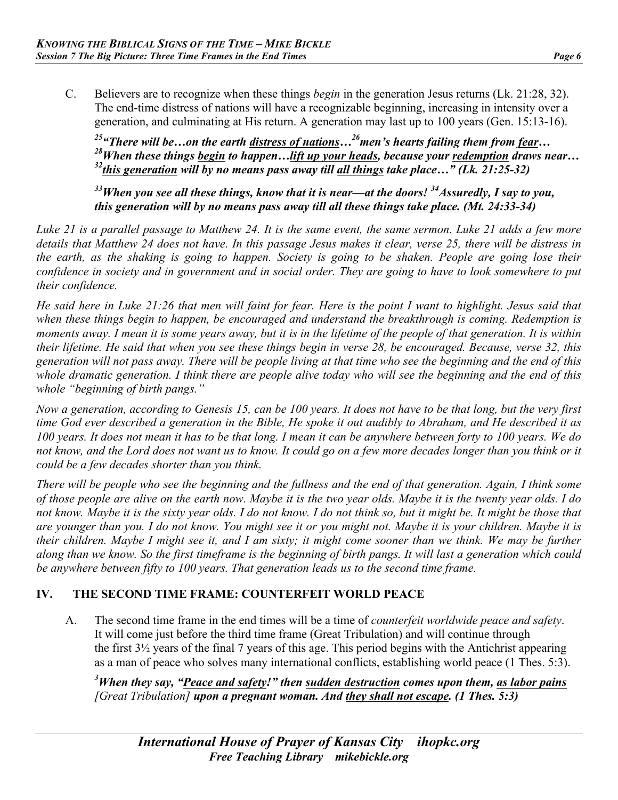C. Believers are to recognize when these things *begin* in the generation Jesus returns (Lk. 21:28, 32). The end-time distress of nations will have a recognizable beginning, increasing in intensity over a generation, and culminating at His return. A generation may last up to 100 years (Gen. 15:13-16).

*25"There will be…on the earth distress of nations…26men's hearts failing them from fear… 28When these things begin to happen…lift up your heads, because your redemption draws near… 32this generation will by no means pass away till all things take place…" (Lk. 21:25-32)*

*33When you see all these things, know that it is near—at the doors! 34Assuredly, I say to you, this generation will by no means pass away till all these things take place. (Mt. 24:33-34)* 

*Luke 21 is a parallel passage to Matthew 24. It is the same event, the same sermon. Luke 21 adds a few more details that Matthew 24 does not have. In this passage Jesus makes it clear, verse 25, there will be distress in the earth, as the shaking is going to happen. Society is going to be shaken. People are going lose their confidence in society and in government and in social order. They are going to have to look somewhere to put their confidence.*

*He said here in Luke 21:26 that men will faint for fear. Here is the point I want to highlight. Jesus said that when these things begin to happen, be encouraged and understand the breakthrough is coming. Redemption is moments away. I mean it is some years away, but it is in the lifetime of the people of that generation. It is within their lifetime. He said that when you see these things begin in verse 28, be encouraged. Because, verse 32, this generation will not pass away. There will be people living at that time who see the beginning and the end of this whole dramatic generation. I think there are people alive today who will see the beginning and the end of this whole "beginning of birth pangs."*

*Now a generation, according to Genesis 15, can be 100 years. It does not have to be that long, but the very first time God ever described a generation in the Bible, He spoke it out audibly to Abraham, and He described it as 100 years. It does not mean it has to be that long. I mean it can be anywhere between forty to 100 years. We do not know, and the Lord does not want us to know. It could go on a few more decades longer than you think or it could be a few decades shorter than you think.*

*There will be people who see the beginning and the fullness and the end of that generation. Again, I think some of those people are alive on the earth now. Maybe it is the two year olds. Maybe it is the twenty year olds. I do not know. Maybe it is the sixty year olds. I do not know. I do not think so, but it might be. It might be those that are younger than you. I do not know. You might see it or you might not. Maybe it is your children. Maybe it is their children. Maybe I might see it, and I am sixty; it might come sooner than we think. We may be further along than we know. So the first timeframe is the beginning of birth pangs. It will last a generation which could be anywhere between fifty to 100 years. That generation leads us to the second time frame.*

# **IV. THE SECOND TIME FRAME: COUNTERFEIT WORLD PEACE**

A. The second time frame in the end times will be a time of *counterfeit worldwide peace and safety*. It will come just before the third time frame (Great Tribulation) and will continue through the first 3½ years of the final 7 years of this age. This period begins with the Antichrist appearing as a man of peace who solves many international conflicts, establishing world peace (1 Thes. 5:3).

*3 When they say, "Peace and safety!" then sudden destruction comes upon them, as labor pains [Great Tribulation] upon a pregnant woman. And they shall not escape. (1 Thes. 5:3)*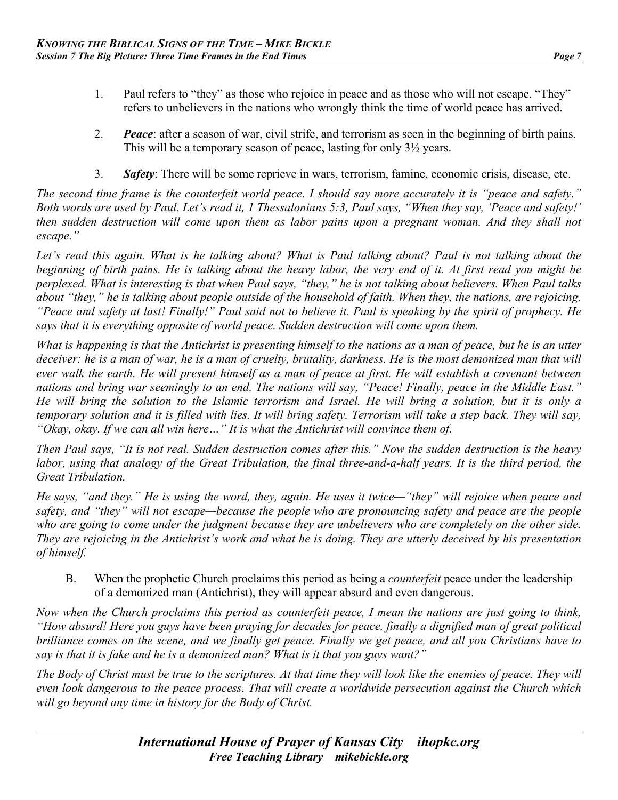- 
- 1. Paul refers to "they" as those who rejoice in peace and as those who will not escape. "They" refers to unbelievers in the nations who wrongly think the time of world peace has arrived.
- 2. *Peace*: after a season of war, civil strife, and terrorism as seen in the beginning of birth pains. This will be a temporary season of peace, lasting for only 3½ years.
- 3. *Safety*: There will be some reprieve in wars, terrorism, famine, economic crisis, disease, etc.

*The second time frame is the counterfeit world peace. I should say more accurately it is "peace and safety." Both words are used by Paul. Let's read it, 1 Thessalonians 5:3, Paul says, "When they say, 'Peace and safety!' then sudden destruction will come upon them as labor pains upon a pregnant woman. And they shall not escape."*

Let's read this again. What is he talking about? What is Paul talking about? Paul is not talking about the *beginning of birth pains. He is talking about the heavy labor, the very end of it. At first read you might be perplexed. What is interesting is that when Paul says, "they," he is not talking about believers. When Paul talks about "they," he is talking about people outside of the household of faith. When they, the nations, are rejoicing, "Peace and safety at last! Finally!" Paul said not to believe it. Paul is speaking by the spirit of prophecy. He says that it is everything opposite of world peace. Sudden destruction will come upon them.* 

*What is happening is that the Antichrist is presenting himself to the nations as a man of peace, but he is an utter deceiver: he is a man of war, he is a man of cruelty, brutality, darkness. He is the most demonized man that will ever walk the earth. He will present himself as a man of peace at first. He will establish a covenant between nations and bring war seemingly to an end. The nations will say, "Peace! Finally, peace in the Middle East." He will bring the solution to the Islamic terrorism and Israel. He will bring a solution, but it is only a temporary solution and it is filled with lies. It will bring safety. Terrorism will take a step back. They will say, "Okay, okay. If we can all win here…" It is what the Antichrist will convince them of.*

*Then Paul says, "It is not real. Sudden destruction comes after this." Now the sudden destruction is the heavy labor, using that analogy of the Great Tribulation, the final three-and-a-half years. It is the third period, the Great Tribulation.*

*He says, "and they." He is using the word, they, again. He uses it twice—"they" will rejoice when peace and safety, and "they" will not escape—because the people who are pronouncing safety and peace are the people who are going to come under the judgment because they are unbelievers who are completely on the other side. They are rejoicing in the Antichrist's work and what he is doing. They are utterly deceived by his presentation of himself.*

B. When the prophetic Church proclaims this period as being a *counterfeit* peace under the leadership of a demonized man (Antichrist), they will appear absurd and even dangerous.

*Now when the Church proclaims this period as counterfeit peace, I mean the nations are just going to think, "How absurd! Here you guys have been praying for decades for peace, finally a dignified man of great political brilliance comes on the scene, and we finally get peace. Finally we get peace, and all you Christians have to say is that it is fake and he is a demonized man? What is it that you guys want?"*

*The Body of Christ must be true to the scriptures. At that time they will look like the enemies of peace. They will even look dangerous to the peace process. That will create a worldwide persecution against the Church which will go beyond any time in history for the Body of Christ.*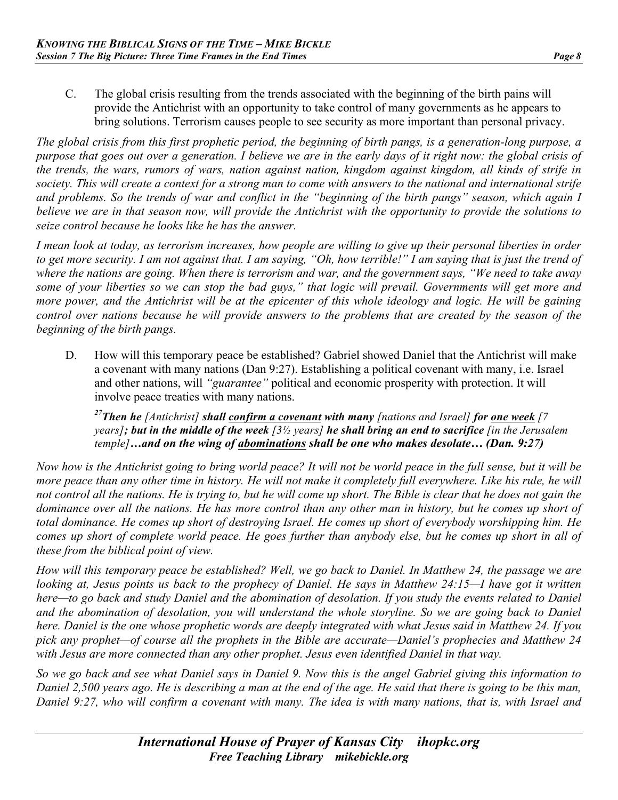C. The global crisis resulting from the trends associated with the beginning of the birth pains will provide the Antichrist with an opportunity to take control of many governments as he appears to bring solutions. Terrorism causes people to see security as more important than personal privacy.

*The global crisis from this first prophetic period, the beginning of birth pangs, is a generation-long purpose, a purpose that goes out over a generation. I believe we are in the early days of it right now: the global crisis of the trends, the wars, rumors of wars, nation against nation, kingdom against kingdom, all kinds of strife in society. This will create a context for a strong man to come with answers to the national and international strife and problems. So the trends of war and conflict in the "beginning of the birth pangs" season, which again I believe we are in that season now, will provide the Antichrist with the opportunity to provide the solutions to seize control because he looks like he has the answer.*

*I mean look at today, as terrorism increases, how people are willing to give up their personal liberties in order to get more security. I am not against that. I am saying, "Oh, how terrible!" I am saying that is just the trend of where the nations are going. When there is terrorism and war, and the government says, "We need to take away some of your liberties so we can stop the bad guys," that logic will prevail. Governments will get more and more power, and the Antichrist will be at the epicenter of this whole ideology and logic. He will be gaining control over nations because he will provide answers to the problems that are created by the season of the beginning of the birth pangs.*

D. How will this temporary peace be established? Gabriel showed Daniel that the Antichrist will make a covenant with many nations (Dan 9:27). Establishing a political covenant with many, i.e. Israel and other nations, will *"guarantee"* political and economic prosperity with protection. It will involve peace treaties with many nations.

*27Then he [Antichrist] shall confirm a covenant with many [nations and Israel] for one week [7 years]; but in the middle of the week [3½ years] he shall bring an end to sacrifice [in the Jerusalem temple]…and on the wing of abominations shall be one who makes desolate… (Dan. 9:27)*

*Now how is the Antichrist going to bring world peace? It will not be world peace in the full sense, but it will be more peace than any other time in history. He will not make it completely full everywhere. Like his rule, he will not control all the nations. He is trying to, but he will come up short. The Bible is clear that he does not gain the dominance over all the nations. He has more control than any other man in history, but he comes up short of total dominance. He comes up short of destroying Israel. He comes up short of everybody worshipping him. He comes up short of complete world peace. He goes further than anybody else, but he comes up short in all of these from the biblical point of view.*

*How will this temporary peace be established? Well, we go back to Daniel. In Matthew 24, the passage we are looking at, Jesus points us back to the prophecy of Daniel. He says in Matthew 24:15—I have got it written here—to go back and study Daniel and the abomination of desolation. If you study the events related to Daniel and the abomination of desolation, you will understand the whole storyline. So we are going back to Daniel here. Daniel is the one whose prophetic words are deeply integrated with what Jesus said in Matthew 24. If you pick any prophet—of course all the prophets in the Bible are accurate—Daniel's prophecies and Matthew 24 with Jesus are more connected than any other prophet. Jesus even identified Daniel in that way.*

*So we go back and see what Daniel says in Daniel 9. Now this is the angel Gabriel giving this information to Daniel 2,500 years ago. He is describing a man at the end of the age. He said that there is going to be this man, Daniel 9:27, who will confirm a covenant with many. The idea is with many nations, that is, with Israel and*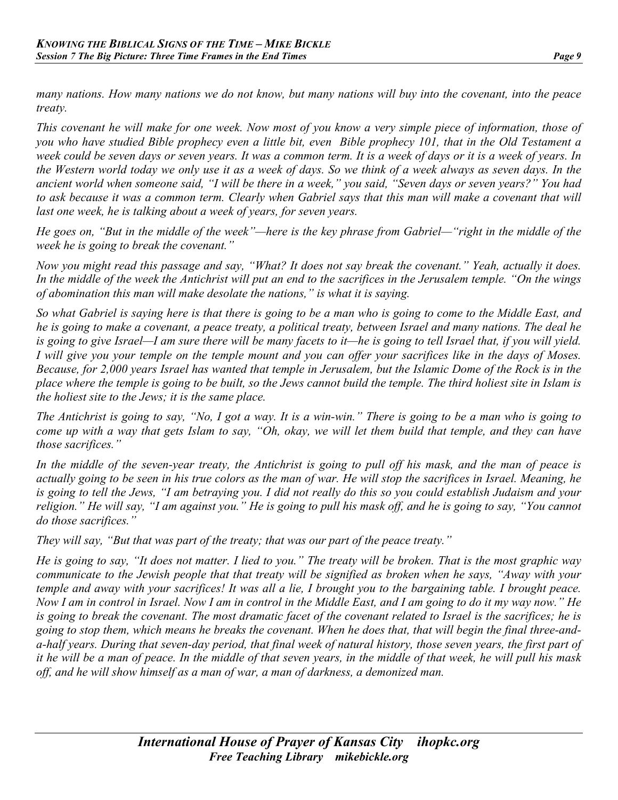*many nations. How many nations we do not know, but many nations will buy into the covenant, into the peace treaty.*

*This covenant he will make for one week. Now most of you know a very simple piece of information, those of you who have studied Bible prophecy even a little bit, even Bible prophecy 101, that in the Old Testament a week could be seven days or seven years. It was a common term. It is a week of days or it is a week of years. In the Western world today we only use it as a week of days. So we think of a week always as seven days. In the ancient world when someone said, "I will be there in a week," you said, "Seven days or seven years?" You had*  to ask because it was a common term. Clearly when Gabriel says that this man will make a covenant that will *last one week, he is talking about a week of years, for seven years.*

*He goes on, "But in the middle of the week"—here is the key phrase from Gabriel—"right in the middle of the week he is going to break the covenant."*

*Now you might read this passage and say, "What? It does not say break the covenant." Yeah, actually it does. In the middle of the week the Antichrist will put an end to the sacrifices in the Jerusalem temple. "On the wings of abomination this man will make desolate the nations," is what it is saying.*

*So what Gabriel is saying here is that there is going to be a man who is going to come to the Middle East, and he is going to make a covenant, a peace treaty, a political treaty, between Israel and many nations. The deal he is going to give Israel—I am sure there will be many facets to it—he is going to tell Israel that, if you will yield. I will give you your temple on the temple mount and you can offer your sacrifices like in the days of Moses. Because, for 2,000 years Israel has wanted that temple in Jerusalem, but the Islamic Dome of the Rock is in the place where the temple is going to be built, so the Jews cannot build the temple. The third holiest site in Islam is the holiest site to the Jews; it is the same place.*

*The Antichrist is going to say, "No, I got a way. It is a win-win." There is going to be a man who is going to come up with a way that gets Islam to say, "Oh, okay, we will let them build that temple, and they can have those sacrifices."*

*In the middle of the seven-year treaty, the Antichrist is going to pull off his mask, and the man of peace is actually going to be seen in his true colors as the man of war. He will stop the sacrifices in Israel. Meaning, he is going to tell the Jews, "I am betraying you. I did not really do this so you could establish Judaism and your religion." He will say, "I am against you." He is going to pull his mask off, and he is going to say, "You cannot do those sacrifices."*

*They will say, "But that was part of the treaty; that was our part of the peace treaty."*

*He is going to say, "It does not matter. I lied to you." The treaty will be broken. That is the most graphic way communicate to the Jewish people that that treaty will be signified as broken when he says, "Away with your temple and away with your sacrifices! It was all a lie, I brought you to the bargaining table. I brought peace. Now I am in control in Israel. Now I am in control in the Middle East, and I am going to do it my way now." He is going to break the covenant. The most dramatic facet of the covenant related to Israel is the sacrifices; he is going to stop them, which means he breaks the covenant. When he does that, that will begin the final three-anda-half years. During that seven-day period, that final week of natural history, those seven years, the first part of it he will be a man of peace. In the middle of that seven years, in the middle of that week, he will pull his mask off, and he will show himself as a man of war, a man of darkness, a demonized man.*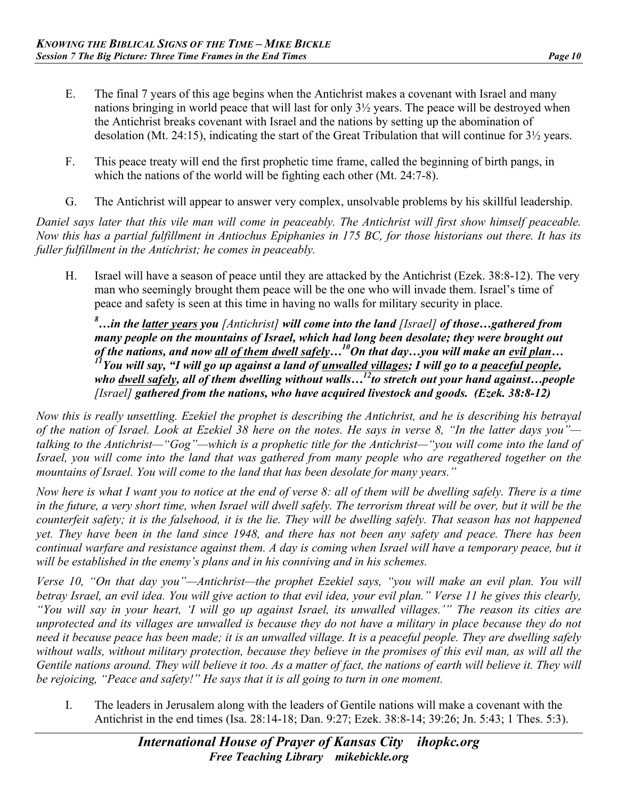- E. The final 7 years of this age begins when the Antichrist makes a covenant with Israel and many nations bringing in world peace that will last for only 3½ years. The peace will be destroyed when the Antichrist breaks covenant with Israel and the nations by setting up the abomination of desolation (Mt. 24:15), indicating the start of the Great Tribulation that will continue for 3½ years.
- F. This peace treaty will end the first prophetic time frame, called the beginning of birth pangs, in which the nations of the world will be fighting each other (Mt. 24:7-8).
- G. The Antichrist will appear to answer very complex, unsolvable problems by his skillful leadership.

*Daniel says later that this vile man will come in peaceably. The Antichrist will first show himself peaceable. Now this has a partial fulfillment in Antiochus Epiphanies in 175 BC, for those historians out there. It has its fuller fulfillment in the Antichrist; he comes in peaceably.*

H. Israel will have a season of peace until they are attacked by the Antichrist (Ezek. 38:8-12). The very man who seemingly brought them peace will be the one who will invade them. Israel's time of peace and safety is seen at this time in having no walls for military security in place.

*8 …in the latter years you [Antichrist] will come into the land [Israel] of those…gathered from many people on the mountains of Israel, which had long been desolate; they were brought out of the nations, and now all of them dwell safely…10On that day…you will make an evil plan… 11You will say, "I will go up against a land of unwalled villages; I will go to a peaceful people, who dwell safely, all of them dwelling without walls…12to stretch out your hand against…people [Israel] gathered from the nations, who have acquired livestock and goods. (Ezek. 38:8-12)*

*Now this is really unsettling. Ezekiel the prophet is describing the Antichrist, and he is describing his betrayal of the nation of Israel. Look at Ezekiel 38 here on the notes. He says in verse 8, "In the latter days you" talking to the Antichrist—"Gog"—which is a prophetic title for the Antichrist—"you will come into the land of Israel, you will come into the land that was gathered from many people who are regathered together on the mountains of Israel. You will come to the land that has been desolate for many years."*

*Now here is what I want you to notice at the end of verse 8: all of them will be dwelling safely. There is a time in the future, a very short time, when Israel will dwell safely. The terrorism threat will be over, but it will be the counterfeit safety; it is the falsehood, it is the lie. They will be dwelling safely. That season has not happened yet. They have been in the land since 1948, and there has not been any safety and peace. There has been continual warfare and resistance against them. A day is coming when Israel will have a temporary peace, but it will be established in the enemy's plans and in his conniving and in his schemes.*

*Verse 10, "On that day you"—Antichrist—the prophet Ezekiel says, "you will make an evil plan. You will betray Israel, an evil idea. You will give action to that evil idea, your evil plan." Verse 11 he gives this clearly, "You will say in your heart, 'I will go up against Israel, its unwalled villages.'" The reason its cities are unprotected and its villages are unwalled is because they do not have a military in place because they do not need it because peace has been made; it is an unwalled village. It is a peaceful people. They are dwelling safely without walls, without military protection, because they believe in the promises of this evil man, as will all the Gentile nations around. They will believe it too. As a matter of fact, the nations of earth will believe it. They will be rejoicing, "Peace and safety!" He says that it is all going to turn in one moment.*

I. The leaders in Jerusalem along with the leaders of Gentile nations will make a covenant with the Antichrist in the end times (Isa. 28:14-18; Dan. 9:27; Ezek. 38:8-14; 39:26; Jn. 5:43; 1 Thes. 5:3).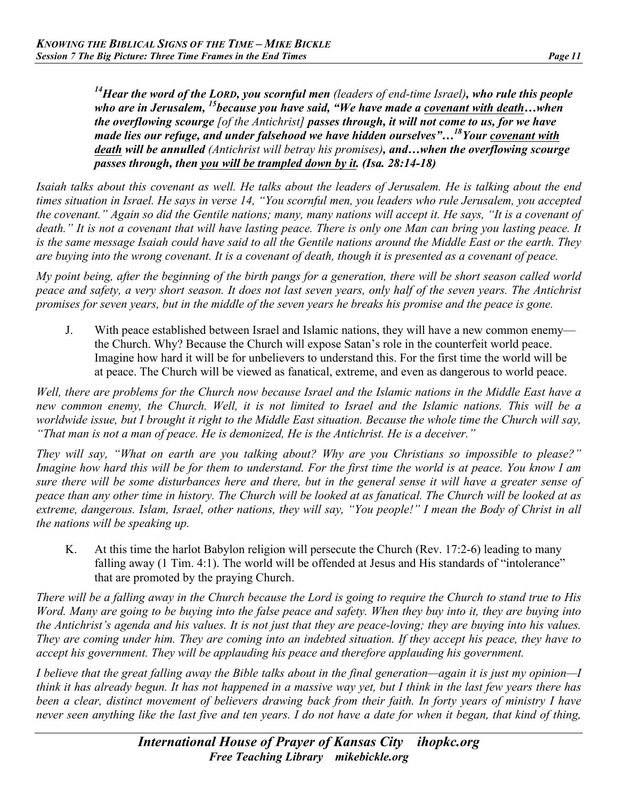*14Hear the word of the LORD, you scornful men (leaders of end-time Israel), who rule this people who are in Jerusalem, 15because you have said, "We have made a covenant with death…when the overflowing scourge [of the Antichrist] passes through, it will not come to us, for we have made lies our refuge, and under falsehood we have hidden ourselves"…18Your covenant with death will be annulled (Antichrist will betray his promises), and…when the overflowing scourge passes through, then you will be trampled down by it. (Isa. 28:14-18)* 

*Isaiah talks about this covenant as well. He talks about the leaders of Jerusalem. He is talking about the end times situation in Israel. He says in verse 14, "You scornful men, you leaders who rule Jerusalem, you accepted the covenant." Again so did the Gentile nations; many, many nations will accept it. He says, "It is a covenant of death." It is not a covenant that will have lasting peace. There is only one Man can bring you lasting peace. It is the same message Isaiah could have said to all the Gentile nations around the Middle East or the earth. They are buying into the wrong covenant. It is a covenant of death, though it is presented as a covenant of peace.*

*My point being, after the beginning of the birth pangs for a generation, there will be short season called world peace and safety, a very short season. It does not last seven years, only half of the seven years. The Antichrist promises for seven years, but in the middle of the seven years he breaks his promise and the peace is gone.*

J. With peace established between Israel and Islamic nations, they will have a new common enemy the Church. Why? Because the Church will expose Satan's role in the counterfeit world peace. Imagine how hard it will be for unbelievers to understand this. For the first time the world will be at peace. The Church will be viewed as fanatical, extreme, and even as dangerous to world peace.

*Well, there are problems for the Church now because Israel and the Islamic nations in the Middle East have a new common enemy, the Church. Well, it is not limited to Israel and the Islamic nations. This will be a worldwide issue, but I brought it right to the Middle East situation. Because the whole time the Church will say, "That man is not a man of peace. He is demonized, He is the Antichrist. He is a deceiver."*

*They will say, "What on earth are you talking about? Why are you Christians so impossible to please?" Imagine how hard this will be for them to understand. For the first time the world is at peace. You know I am sure there will be some disturbances here and there, but in the general sense it will have a greater sense of peace than any other time in history. The Church will be looked at as fanatical. The Church will be looked at as extreme, dangerous. Islam, Israel, other nations, they will say, "You people!" I mean the Body of Christ in all the nations will be speaking up.*

K. At this time the harlot Babylon religion will persecute the Church (Rev. 17:2-6) leading to many falling away (1 Tim. 4:1). The world will be offended at Jesus and His standards of "intolerance" that are promoted by the praying Church.

*There will be a falling away in the Church because the Lord is going to require the Church to stand true to His Word. Many are going to be buying into the false peace and safety. When they buy into it, they are buying into the Antichrist's agenda and his values. It is not just that they are peace-loving; they are buying into his values. They are coming under him. They are coming into an indebted situation. If they accept his peace, they have to accept his government. They will be applauding his peace and therefore applauding his government.*

*I believe that the great falling away the Bible talks about in the final generation—again it is just my opinion—I think it has already begun. It has not happened in a massive way yet, but I think in the last few years there has been a clear, distinct movement of believers drawing back from their faith. In forty years of ministry I have never seen anything like the last five and ten years. I do not have a date for when it began, that kind of thing,*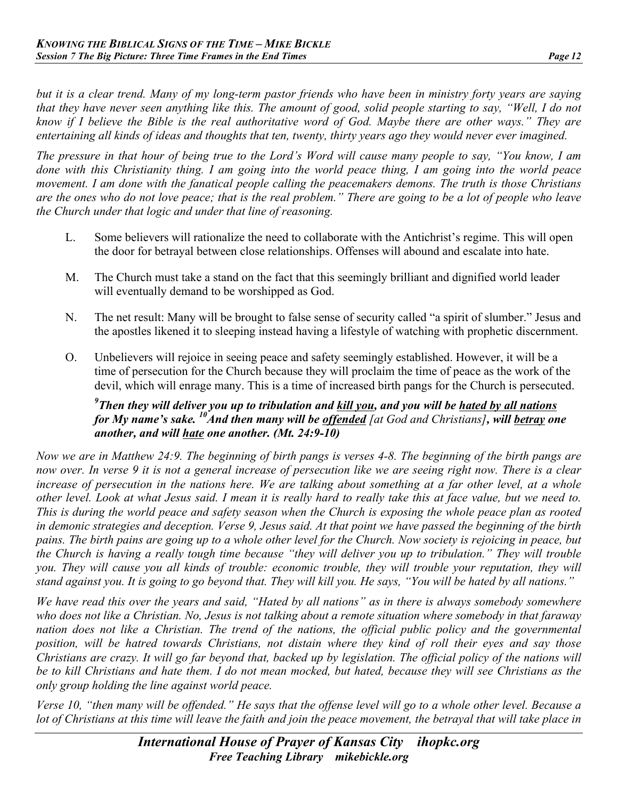*but it is a clear trend. Many of my long-term pastor friends who have been in ministry forty years are saying that they have never seen anything like this. The amount of good, solid people starting to say, "Well, I do not know if I believe the Bible is the real authoritative word of God. Maybe there are other ways." They are entertaining all kinds of ideas and thoughts that ten, twenty, thirty years ago they would never ever imagined.*

*The pressure in that hour of being true to the Lord's Word will cause many people to say, "You know, I am done with this Christianity thing. I am going into the world peace thing, I am going into the world peace movement. I am done with the fanatical people calling the peacemakers demons. The truth is those Christians are the ones who do not love peace; that is the real problem." There are going to be a lot of people who leave the Church under that logic and under that line of reasoning.*

- L. Some believers will rationalize the need to collaborate with the Antichrist's regime. This will open the door for betrayal between close relationships. Offenses will abound and escalate into hate.
- M. The Church must take a stand on the fact that this seemingly brilliant and dignified world leader will eventually demand to be worshipped as God.
- N. The net result: Many will be brought to false sense of security called "a spirit of slumber." Jesus and the apostles likened it to sleeping instead having a lifestyle of watching with prophetic discernment.
- O. Unbelievers will rejoice in seeing peace and safety seemingly established. However, it will be a time of persecution for the Church because they will proclaim the time of peace as the work of the devil, which will enrage many. This is a time of increased birth pangs for the Church is persecuted.

#### *9 Then they will deliver you up to tribulation and kill you, and you will be hated by all nations for My name's sake.* <sup>10</sup>*And then many will be offended [at God and Christians], will betray one another, and will hate one another. (Mt. 24:9-10)*

*Now we are in Matthew 24:9. The beginning of birth pangs is verses 4-8. The beginning of the birth pangs are now over. In verse 9 it is not a general increase of persecution like we are seeing right now. There is a clear*  increase of persecution in the nations here. We are talking about something at a far other level, at a whole *other level. Look at what Jesus said. I mean it is really hard to really take this at face value, but we need to. This is during the world peace and safety season when the Church is exposing the whole peace plan as rooted in demonic strategies and deception. Verse 9, Jesus said. At that point we have passed the beginning of the birth pains. The birth pains are going up to a whole other level for the Church. Now society is rejoicing in peace, but the Church is having a really tough time because "they will deliver you up to tribulation." They will trouble you. They will cause you all kinds of trouble: economic trouble, they will trouble your reputation, they will stand against you. It is going to go beyond that. They will kill you. He says, "You will be hated by all nations."*

*We have read this over the years and said, "Hated by all nations" as in there is always somebody somewhere who does not like a Christian. No, Jesus is not talking about a remote situation where somebody in that faraway*  nation does not like a Christian. The trend of the nations, the official public policy and the governmental *position, will be hatred towards Christians, not distain where they kind of roll their eyes and say those Christians are crazy. It will go far beyond that, backed up by legislation. The official policy of the nations will be to kill Christians and hate them. I do not mean mocked, but hated, because they will see Christians as the only group holding the line against world peace.*

*Verse 10, "then many will be offended." He says that the offense level will go to a whole other level. Because a lot of Christians at this time will leave the faith and join the peace movement, the betrayal that will take place in*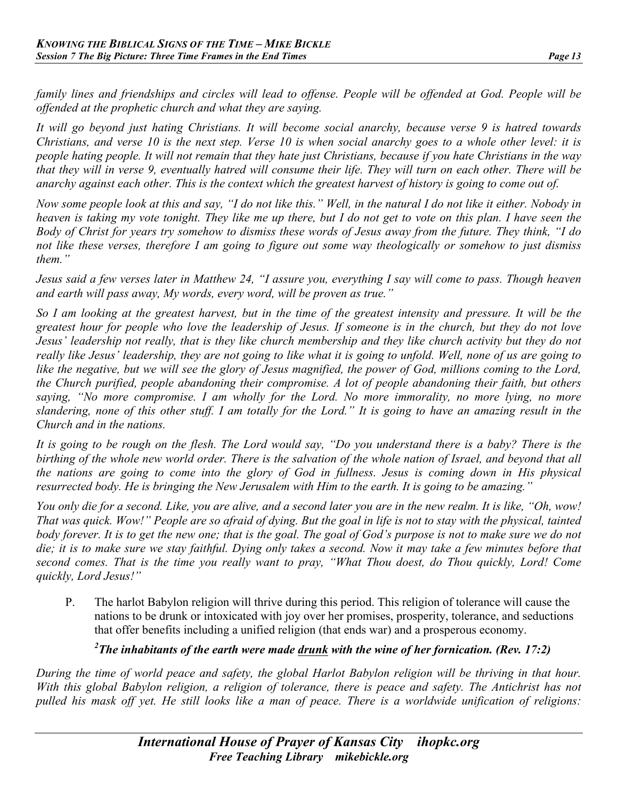*family lines and friendships and circles will lead to offense. People will be offended at God. People will be offended at the prophetic church and what they are saying.*

*It will go beyond just hating Christians. It will become social anarchy, because verse 9 is hatred towards Christians, and verse 10 is the next step. Verse 10 is when social anarchy goes to a whole other level: it is people hating people. It will not remain that they hate just Christians, because if you hate Christians in the way that they will in verse 9, eventually hatred will consume their life. They will turn on each other. There will be anarchy against each other. This is the context which the greatest harvest of history is going to come out of.*

*Now some people look at this and say, "I do not like this." Well, in the natural I do not like it either. Nobody in heaven is taking my vote tonight. They like me up there, but I do not get to vote on this plan. I have seen the Body of Christ for years try somehow to dismiss these words of Jesus away from the future. They think, "I do not like these verses, therefore I am going to figure out some way theologically or somehow to just dismiss them."*

*Jesus said a few verses later in Matthew 24, "I assure you, everything I say will come to pass. Though heaven and earth will pass away, My words, every word, will be proven as true."*

*So I am looking at the greatest harvest, but in the time of the greatest intensity and pressure. It will be the greatest hour for people who love the leadership of Jesus. If someone is in the church, but they do not love Jesus' leadership not really, that is they like church membership and they like church activity but they do not really like Jesus' leadership, they are not going to like what it is going to unfold. Well, none of us are going to like the negative, but we will see the glory of Jesus magnified, the power of God, millions coming to the Lord, the Church purified, people abandoning their compromise. A lot of people abandoning their faith, but others saying, "No more compromise. I am wholly for the Lord. No more immorality, no more lying, no more slandering, none of this other stuff. I am totally for the Lord." It is going to have an amazing result in the Church and in the nations.*

*It is going to be rough on the flesh. The Lord would say, "Do you understand there is a baby? There is the birthing of the whole new world order. There is the salvation of the whole nation of Israel, and beyond that all the nations are going to come into the glory of God in fullness. Jesus is coming down in His physical resurrected body. He is bringing the New Jerusalem with Him to the earth. It is going to be amazing."*

*You only die for a second. Like, you are alive, and a second later you are in the new realm. It is like, "Oh, wow! That was quick. Wow!" People are so afraid of dying. But the goal in life is not to stay with the physical, tainted body forever. It is to get the new one; that is the goal. The goal of God's purpose is not to make sure we do not die; it is to make sure we stay faithful. Dying only takes a second. Now it may take a few minutes before that second comes. That is the time you really want to pray, "What Thou doest, do Thou quickly, Lord! Come quickly, Lord Jesus!"*

P. The harlot Babylon religion will thrive during this period. This religion of tolerance will cause the nations to be drunk or intoxicated with joy over her promises, prosperity, tolerance, and seductions that offer benefits including a unified religion (that ends war) and a prosperous economy.

## *2 The inhabitants of the earth were made drunk with the wine of her fornication. (Rev. 17:2)*

*During the time of world peace and safety, the global Harlot Babylon religion will be thriving in that hour.*  With this global Babylon religion, a religion of tolerance, there is peace and safety. The Antichrist has not *pulled his mask off yet. He still looks like a man of peace. There is a worldwide unification of religions:*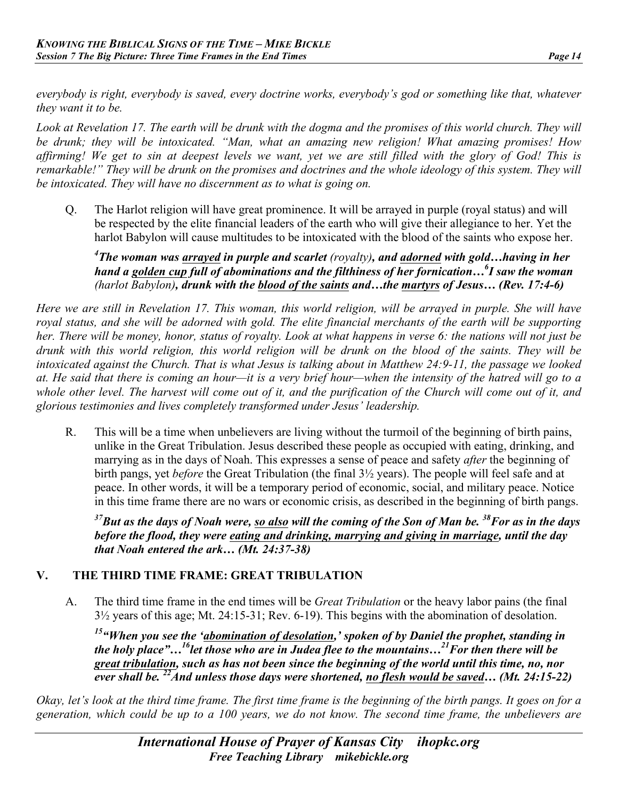*everybody is right, everybody is saved, every doctrine works, everybody's god or something like that, whatever they want it to be.*

Look at Revelation 17. The earth will be drunk with the dogma and the promises of this world church. They will *be drunk; they will be intoxicated. "Man, what an amazing new religion! What amazing promises! How affirming! We get to sin at deepest levels we want, yet we are still filled with the glory of God! This is remarkable!" They will be drunk on the promises and doctrines and the whole ideology of this system. They will be intoxicated. They will have no discernment as to what is going on.*

Q. The Harlot religion will have great prominence. It will be arrayed in purple (royal status) and will be respected by the elite financial leaders of the earth who will give their allegiance to her. Yet the harlot Babylon will cause multitudes to be intoxicated with the blood of the saints who expose her.

*4 The woman was arrayed in purple and scarlet (royalty), and adorned with gold…having in her hand a golden cup full of abominations and the filthiness of her fornication…<sup>6</sup> I saw the woman (harlot Babylon), drunk with the blood of the saints and…the martyrs of Jesus… (Rev. 17:4-6)* 

*Here we are still in Revelation 17. This woman, this world religion, will be arrayed in purple. She will have royal status, and she will be adorned with gold. The elite financial merchants of the earth will be supporting her. There will be money, honor, status of royalty. Look at what happens in verse 6: the nations will not just be drunk with this world religion, this world religion will be drunk on the blood of the saints. They will be intoxicated against the Church. That is what Jesus is talking about in Matthew 24:9-11, the passage we looked at. He said that there is coming an hour—it is a very brief hour—when the intensity of the hatred will go to a whole other level. The harvest will come out of it, and the purification of the Church will come out of it, and glorious testimonies and lives completely transformed under Jesus' leadership.*

R. This will be a time when unbelievers are living without the turmoil of the beginning of birth pains, unlike in the Great Tribulation. Jesus described these people as occupied with eating, drinking, and marrying as in the days of Noah. This expresses a sense of peace and safety *after* the beginning of birth pangs, yet *before* the Great Tribulation (the final 3½ years). The people will feel safe and at peace. In other words, it will be a temporary period of economic, social, and military peace. Notice in this time frame there are no wars or economic crisis, as described in the beginning of birth pangs.

*37But as the days of Noah were, so also will the coming of the Son of Man be. 38For as in the days before the flood, they were eating and drinking, marrying and giving in marriage, until the day that Noah entered the ark… (Mt. 24:37-38)*

## **V. THE THIRD TIME FRAME: GREAT TRIBULATION**

A. The third time frame in the end times will be *Great Tribulation* or the heavy labor pains (the final 3½ years of this age; Mt. 24:15-31; Rev. 6-19). This begins with the abomination of desolation.

*15"When you see the 'abomination of desolation,' spoken of by Daniel the prophet, standing in the holy place"…16let those who are in Judea flee to the mountains…21For then there will be great tribulation, such as has not been since the beginning of the world until this time, no, nor ever shall be. 22And unless those days were shortened, no flesh would be saved… (Mt. 24:15-22)*

*Okay, let's look at the third time frame. The first time frame is the beginning of the birth pangs. It goes on for a generation, which could be up to a 100 years, we do not know. The second time frame, the unbelievers are*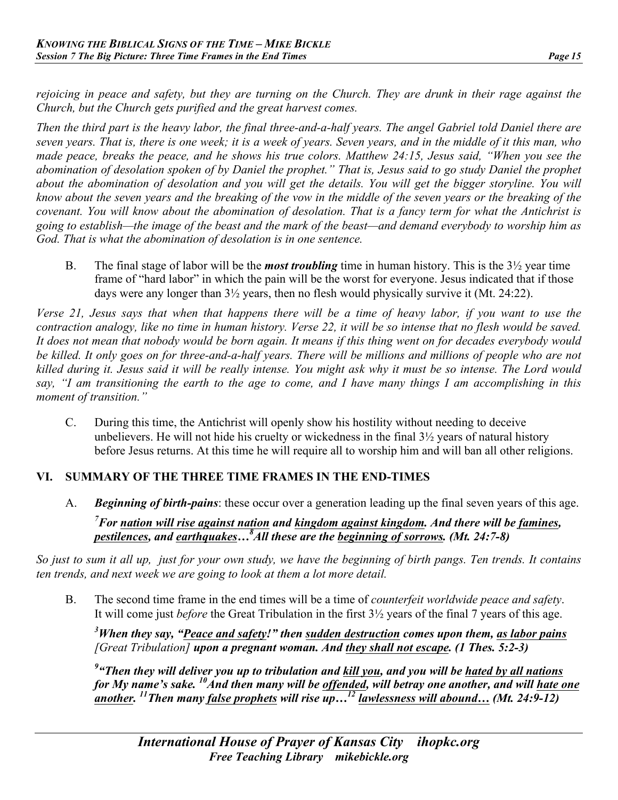*rejoicing in peace and safety, but they are turning on the Church. They are drunk in their rage against the Church, but the Church gets purified and the great harvest comes.*

*Then the third part is the heavy labor, the final three-and-a-half years. The angel Gabriel told Daniel there are seven years. That is, there is one week; it is a week of years. Seven years, and in the middle of it this man, who made peace, breaks the peace, and he shows his true colors. Matthew 24:15, Jesus said, "When you see the abomination of desolation spoken of by Daniel the prophet." That is, Jesus said to go study Daniel the prophet about the abomination of desolation and you will get the details. You will get the bigger storyline. You will know about the seven years and the breaking of the vow in the middle of the seven years or the breaking of the covenant. You will know about the abomination of desolation. That is a fancy term for what the Antichrist is going to establish—the image of the beast and the mark of the beast—and demand everybody to worship him as God. That is what the abomination of desolation is in one sentence.*

B. The final stage of labor will be the *most troubling* time in human history. This is the 3½ year time frame of "hard labor" in which the pain will be the worst for everyone. Jesus indicated that if those days were any longer than 3½ years, then no flesh would physically survive it (Mt. 24:22).

*Verse 21, Jesus says that when that happens there will be a time of heavy labor, if you want to use the contraction analogy, like no time in human history. Verse 22, it will be so intense that no flesh would be saved. It does not mean that nobody would be born again. It means if this thing went on for decades everybody would be killed. It only goes on for three-and-a-half years. There will be millions and millions of people who are not killed during it. Jesus said it will be really intense. You might ask why it must be so intense. The Lord would say, "I am transitioning the earth to the age to come, and I have many things I am accomplishing in this moment of transition."*

C. During this time, the Antichrist will openly show his hostility without needing to deceive unbelievers. He will not hide his cruelty or wickedness in the final 3½ years of natural history before Jesus returns. At this time he will require all to worship him and will ban all other religions.

## **VI. SUMMARY OF THE THREE TIME FRAMES IN THE END-TIMES**

A. *Beginning of birth-pains*: these occur over a generation leading up the final seven years of this age.

*7 For nation will rise against nation and kingdom against kingdom. And there will be famines, pestilences, and earthquakes…8 All these are the beginning of sorrows. (Mt. 24:7-8)*

*So just to sum it all up, just for your own study, we have the beginning of birth pangs. Ten trends. It contains ten trends, and next week we are going to look at them a lot more detail.* 

B. The second time frame in the end times will be a time of *counterfeit worldwide peace and safety*. It will come just *before* the Great Tribulation in the first 3½ years of the final 7 years of this age.

*3 When they say, "Peace and safety!" then sudden destruction comes upon them, as labor pains [Great Tribulation] upon a pregnant woman. And they shall not escape. (1 Thes. 5:2-3)* 

*9 "Then they will deliver you up to tribulation and kill you, and you will be hated by all nations for My name's sake.* <sup>10</sup>And then many will be offended, will betray one another, and will hate one *another. 11Then many false prophets will rise up…<sup>12</sup> lawlessness will abound… (Mt. 24:9-12)*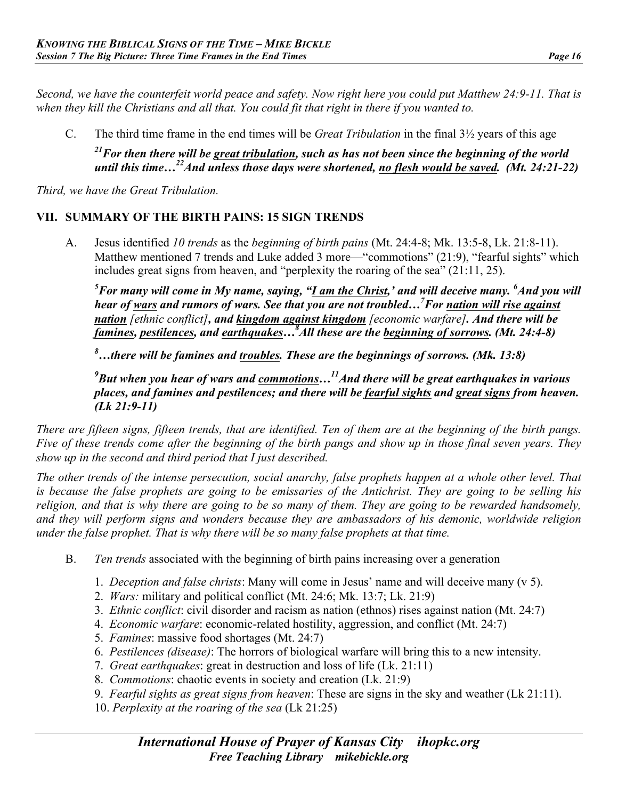*Second, we have the counterfeit world peace and safety. Now right here you could put Matthew 24:9-11. That is when they kill the Christians and all that. You could fit that right in there if you wanted to.*

C. The third time frame in the end times will be *Great Tribulation* in the final 3½ years of this age *21For then there will be great tribulation, such as has not been since the beginning of the world until this time…22And unless those days were shortened, no flesh would be saved. (Mt. 24:21-22)*

*Third, we have the Great Tribulation.* 

## **VII. SUMMARY OF THE BIRTH PAINS: 15 SIGN TRENDS**

A. Jesus identified *10 trends* as the *beginning of birth pains* (Mt. 24:4-8; Mk. 13:5-8, Lk. 21:8-11). Matthew mentioned 7 trends and Luke added 3 more—"commotions" (21:9), "fearful sights" which includes great signs from heaven, and "perplexity the roaring of the sea" (21:11, 25).

*5 For many will come in My name, saying, "I am the Christ,' and will deceive many. <sup>6</sup> And you will hear of wars and rumors of wars. See that you are not troubled…7 For nation will rise against nation [ethnic conflict], and kingdom against kingdom [economic warfare]. And there will be famines, pestilences, and earthquakes…8 All these are the beginning of sorrows. (Mt. 24:4-8)*

*8 …there will be famines and troubles. These are the beginnings of sorrows. (Mk. 13:8)* 

*9 But when you hear of wars and commotions…11And there will be great earthquakes in various places, and famines and pestilences; and there will be fearful sights and great signs from heaven. (Lk 21:9-11)*

*There are fifteen signs, fifteen trends, that are identified. Ten of them are at the beginning of the birth pangs. Five of these trends come after the beginning of the birth pangs and show up in those final seven years. They show up in the second and third period that I just described.*

*The other trends of the intense persecution, social anarchy, false prophets happen at a whole other level. That is because the false prophets are going to be emissaries of the Antichrist. They are going to be selling his religion, and that is why there are going to be so many of them. They are going to be rewarded handsomely, and they will perform signs and wonders because they are ambassadors of his demonic, worldwide religion under the false prophet. That is why there will be so many false prophets at that time.*

- B. *Ten trends* associated with the beginning of birth pains increasing over a generation
	- 1. *Deception and false christs*: Many will come in Jesus' name and will deceive many (v 5).
	- 2. *Wars:* military and political conflict (Mt. 24:6; Mk. 13:7; Lk. 21:9)
	- 3. *Ethnic conflict*: civil disorder and racism as nation (ethnos) rises against nation (Mt. 24:7)
	- 4. *Economic warfare*: economic-related hostility, aggression, and conflict (Mt. 24:7)
	- 5. *Famines*: massive food shortages (Mt. 24:7)
	- 6. *Pestilences (disease)*: The horrors of biological warfare will bring this to a new intensity.
	- 7. *Great earthquakes*: great in destruction and loss of life (Lk. 21:11)
	- 8. *Commotions*: chaotic events in society and creation (Lk. 21:9)
	- 9. *Fearful sights as great signs from heaven*: These are signs in the sky and weather (Lk 21:11).
	- 10. *Perplexity at the roaring of the sea* (Lk 21:25)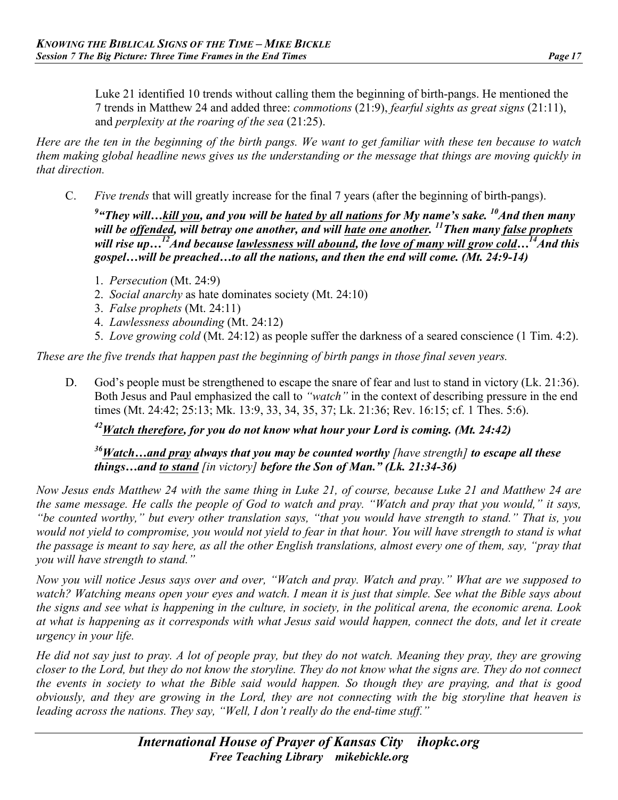Luke 21 identified 10 trends without calling them the beginning of birth-pangs. He mentioned the 7 trends in Matthew 24 and added three: *commotions* (21:9), *fearful sights as great signs* (21:11), and *perplexity at the roaring of the sea* (21:25).

*Here are the ten in the beginning of the birth pangs. We want to get familiar with these ten because to watch them making global headline news gives us the understanding or the message that things are moving quickly in that direction.*

C. *Five trends* that will greatly increase for the final 7 years (after the beginning of birth-pangs).

*9 "They will…kill you, and you will be hated by all nations for My name's sake. 10And then many will be offended, will betray one another, and will hate one another. 11Then many false prophets* will rise up...<sup>12</sup>And because lawlessness will abound, the love of many will grow cold...<sup>14</sup>And this *gospel…will be preached…to all the nations, and then the end will come. (Mt. 24:9-14)*

- 1. *Persecution* (Mt. 24:9)
- 2. *Social anarchy* as hate dominates society (Mt. 24:10)
- 3. *False prophets* (Mt. 24:11)
- 4. *Lawlessness abounding* (Mt. 24:12)
- 5. *Love growing cold* (Mt. 24:12) as people suffer the darkness of a seared conscience (1 Tim. 4:2).

*These are the five trends that happen past the beginning of birth pangs in those final seven years.* 

D. God's people must be strengthened to escape the snare of fear and lust to stand in victory (Lk. 21:36). Both Jesus and Paul emphasized the call to *"watch"* in the context of describing pressure in the end times (Mt. 24:42; 25:13; Mk. 13:9, 33, 34, 35, 37; Lk. 21:36; Rev. 16:15; cf. 1 Thes. 5:6).

#### *42Watch therefore, for you do not know what hour your Lord is coming. (Mt. 24:42)*

#### *36Watch…and pray always that you may be counted worthy [have strength] to escape all these things…and to stand [in victory] before the Son of Man." (Lk. 21:34-36)*

*Now Jesus ends Matthew 24 with the same thing in Luke 21, of course, because Luke 21 and Matthew 24 are the same message. He calls the people of God to watch and pray. "Watch and pray that you would," it says, "be counted worthy," but every other translation says, "that you would have strength to stand." That is, you*  would not yield to compromise, you would not yield to fear in that hour. You will have strength to stand is what *the passage is meant to say here, as all the other English translations, almost every one of them, say, "pray that you will have strength to stand."*

*Now you will notice Jesus says over and over, "Watch and pray. Watch and pray." What are we supposed to watch? Watching means open your eyes and watch. I mean it is just that simple. See what the Bible says about the signs and see what is happening in the culture, in society, in the political arena, the economic arena. Look at what is happening as it corresponds with what Jesus said would happen, connect the dots, and let it create urgency in your life.*

*He did not say just to pray. A lot of people pray, but they do not watch. Meaning they pray, they are growing closer to the Lord, but they do not know the storyline. They do not know what the signs are. They do not connect the events in society to what the Bible said would happen. So though they are praying, and that is good obviously, and they are growing in the Lord, they are not connecting with the big storyline that heaven is leading across the nations. They say, "Well, I don't really do the end-time stuff."*